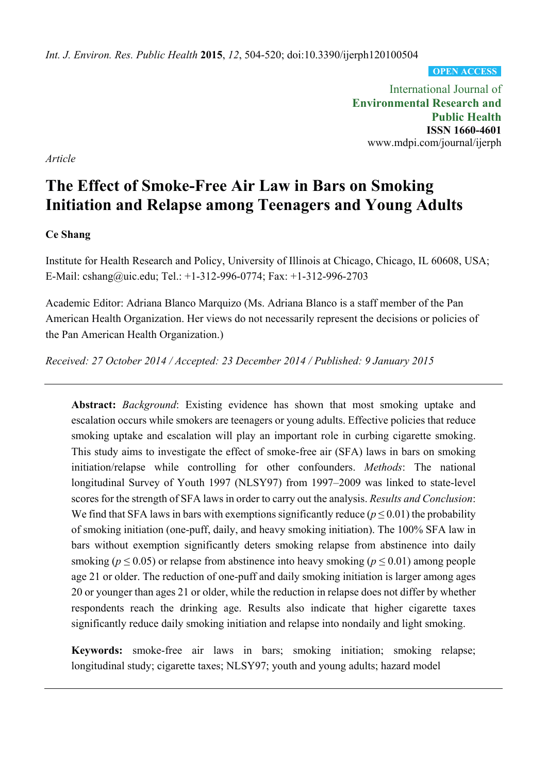*Int. J. Environ. Res. Public Health* **2015**, *12*, 504-520; doi:10.3390/ijerph120100504

**OPEN ACCESS**

International Journal of **Environmental Research and Public Health ISSN 1660-4601**  www.mdpi.com/journal/ijerph

*Article*

# **The Effect of Smoke-Free Air Law in Bars on Smoking Initiation and Relapse among Teenagers and Young Adults**

## **Ce Shang**

Institute for Health Research and Policy, University of Illinois at Chicago, Chicago, IL 60608, USA; E-Mail: cshang@uic.edu; Tel.: +1-312-996-0774; Fax: +1-312-996-2703

Academic Editor: Adriana Blanco Marquizo (Ms. Adriana Blanco is a staff member of the Pan American Health Organization. Her views do not necessarily represent the decisions or policies of the Pan American Health Organization.)

*Received: 27 October 2014 / Accepted: 23 December 2014 / Published: 9 January 2015* 

**Abstract:** *Background*: Existing evidence has shown that most smoking uptake and escalation occurs while smokers are teenagers or young adults. Effective policies that reduce smoking uptake and escalation will play an important role in curbing cigarette smoking. This study aims to investigate the effect of smoke-free air (SFA) laws in bars on smoking initiation/relapse while controlling for other confounders. *Methods*: The national longitudinal Survey of Youth 1997 (NLSY97) from 1997–2009 was linked to state-level scores for the strength of SFA laws in order to carry out the analysis. *Results and Conclusion*: We find that SFA laws in bars with exemptions significantly reduce ( $p \le 0.01$ ) the probability of smoking initiation (one-puff, daily, and heavy smoking initiation). The 100% SFA law in bars without exemption significantly deters smoking relapse from abstinence into daily smoking ( $p \le 0.05$ ) or relapse from abstinence into heavy smoking ( $p \le 0.01$ ) among people age 21 or older. The reduction of one-puff and daily smoking initiation is larger among ages 20 or younger than ages 21 or older, while the reduction in relapse does not differ by whether respondents reach the drinking age. Results also indicate that higher cigarette taxes significantly reduce daily smoking initiation and relapse into nondaily and light smoking.

**Keywords:** smoke-free air laws in bars; smoking initiation; smoking relapse; longitudinal study; cigarette taxes; NLSY97; youth and young adults; hazard model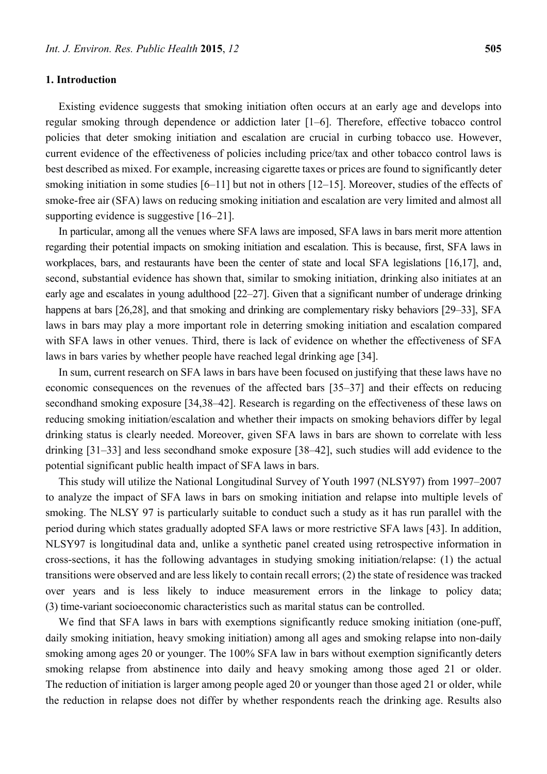#### **1. Introduction**

Existing evidence suggests that smoking initiation often occurs at an early age and develops into regular smoking through dependence or addiction later [1–6]. Therefore, effective tobacco control policies that deter smoking initiation and escalation are crucial in curbing tobacco use. However, current evidence of the effectiveness of policies including price/tax and other tobacco control laws is best described as mixed. For example, increasing cigarette taxes or prices are found to significantly deter smoking initiation in some studies [6–11] but not in others [12–15]. Moreover, studies of the effects of smoke-free air (SFA) laws on reducing smoking initiation and escalation are very limited and almost all supporting evidence is suggestive [16–21].

In particular, among all the venues where SFA laws are imposed, SFA laws in bars merit more attention regarding their potential impacts on smoking initiation and escalation. This is because, first, SFA laws in workplaces, bars, and restaurants have been the center of state and local SFA legislations [16,17], and, second, substantial evidence has shown that, similar to smoking initiation, drinking also initiates at an early age and escalates in young adulthood [22–27]. Given that a significant number of underage drinking happens at bars [26,28], and that smoking and drinking are complementary risky behaviors [29–33], SFA laws in bars may play a more important role in deterring smoking initiation and escalation compared with SFA laws in other venues. Third, there is lack of evidence on whether the effectiveness of SFA laws in bars varies by whether people have reached legal drinking age [34].

In sum, current research on SFA laws in bars have been focused on justifying that these laws have no economic consequences on the revenues of the affected bars [35–37] and their effects on reducing secondhand smoking exposure [34,38–42]. Research is regarding on the effectiveness of these laws on reducing smoking initiation/escalation and whether their impacts on smoking behaviors differ by legal drinking status is clearly needed. Moreover, given SFA laws in bars are shown to correlate with less drinking [31–33] and less secondhand smoke exposure [38–42], such studies will add evidence to the potential significant public health impact of SFA laws in bars.

This study will utilize the National Longitudinal Survey of Youth 1997 (NLSY97) from 1997–2007 to analyze the impact of SFA laws in bars on smoking initiation and relapse into multiple levels of smoking. The NLSY 97 is particularly suitable to conduct such a study as it has run parallel with the period during which states gradually adopted SFA laws or more restrictive SFA laws [43]. In addition, NLSY97 is longitudinal data and, unlike a synthetic panel created using retrospective information in cross-sections, it has the following advantages in studying smoking initiation/relapse: (1) the actual transitions were observed and are less likely to contain recall errors; (2) the state of residence was tracked over years and is less likely to induce measurement errors in the linkage to policy data; (3) time-variant socioeconomic characteristics such as marital status can be controlled.

We find that SFA laws in bars with exemptions significantly reduce smoking initiation (one-puff, daily smoking initiation, heavy smoking initiation) among all ages and smoking relapse into non-daily smoking among ages 20 or younger. The 100% SFA law in bars without exemption significantly deters smoking relapse from abstinence into daily and heavy smoking among those aged 21 or older. The reduction of initiation is larger among people aged 20 or younger than those aged 21 or older, while the reduction in relapse does not differ by whether respondents reach the drinking age. Results also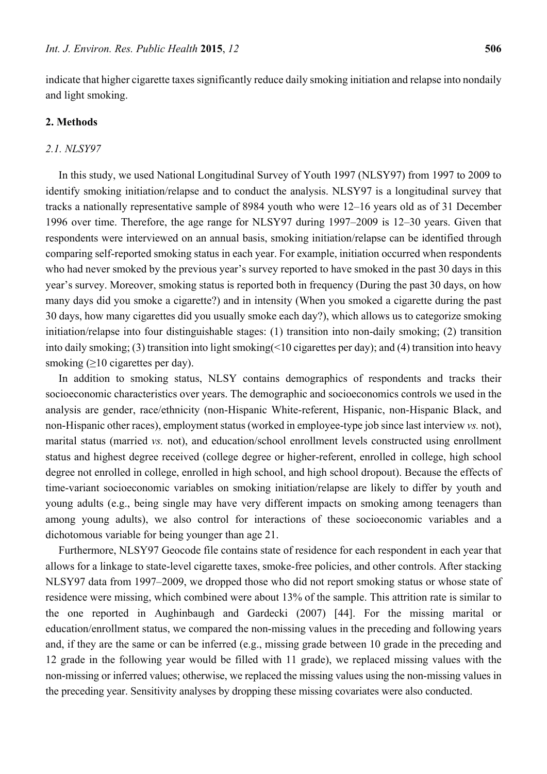indicate that higher cigarette taxes significantly reduce daily smoking initiation and relapse into nondaily and light smoking.

# **2. Methods**

## *2.1. NLSY97*

In this study, we used National Longitudinal Survey of Youth 1997 (NLSY97) from 1997 to 2009 to identify smoking initiation/relapse and to conduct the analysis. NLSY97 is a longitudinal survey that tracks a nationally representative sample of 8984 youth who were 12–16 years old as of 31 December 1996 over time. Therefore, the age range for NLSY97 during 1997–2009 is 12–30 years. Given that respondents were interviewed on an annual basis, smoking initiation/relapse can be identified through comparing self-reported smoking status in each year. For example, initiation occurred when respondents who had never smoked by the previous year's survey reported to have smoked in the past 30 days in this year's survey. Moreover, smoking status is reported both in frequency (During the past 30 days, on how many days did you smoke a cigarette?) and in intensity (When you smoked a cigarette during the past 30 days, how many cigarettes did you usually smoke each day?), which allows us to categorize smoking initiation/relapse into four distinguishable stages: (1) transition into non-daily smoking; (2) transition into daily smoking; (3) transition into light smoking(<10 cigarettes per day); and (4) transition into heavy smoking (>10 cigarettes per day).

In addition to smoking status, NLSY contains demographics of respondents and tracks their socioeconomic characteristics over years. The demographic and socioeconomics controls we used in the analysis are gender, race/ethnicity (non-Hispanic White-referent, Hispanic, non-Hispanic Black, and non-Hispanic other races), employment status (worked in employee-type job since last interview *vs.* not), marital status (married *vs.* not), and education/school enrollment levels constructed using enrollment status and highest degree received (college degree or higher-referent, enrolled in college, high school degree not enrolled in college, enrolled in high school, and high school dropout). Because the effects of time-variant socioeconomic variables on smoking initiation/relapse are likely to differ by youth and young adults (e.g., being single may have very different impacts on smoking among teenagers than among young adults), we also control for interactions of these socioeconomic variables and a dichotomous variable for being younger than age 21.

Furthermore, NLSY97 Geocode file contains state of residence for each respondent in each year that allows for a linkage to state-level cigarette taxes, smoke-free policies, and other controls. After stacking NLSY97 data from 1997–2009, we dropped those who did not report smoking status or whose state of residence were missing, which combined were about 13% of the sample. This attrition rate is similar to the one reported in Aughinbaugh and Gardecki (2007) [44]. For the missing marital or education/enrollment status, we compared the non-missing values in the preceding and following years and, if they are the same or can be inferred (e.g., missing grade between 10 grade in the preceding and 12 grade in the following year would be filled with 11 grade), we replaced missing values with the non-missing or inferred values; otherwise, we replaced the missing values using the non-missing values in the preceding year. Sensitivity analyses by dropping these missing covariates were also conducted.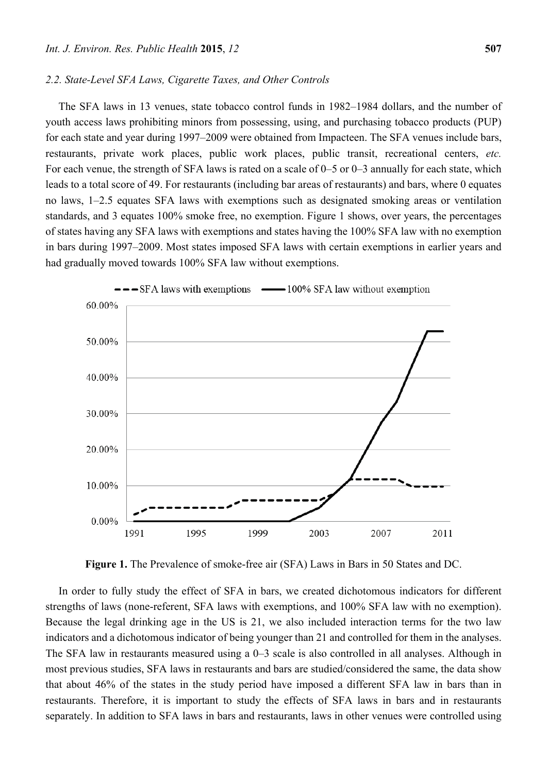#### *2.2. State-Level SFA Laws, Cigarette Taxes, and Other Controls*

The SFA laws in 13 venues, state tobacco control funds in 1982–1984 dollars, and the number of youth access laws prohibiting minors from possessing, using, and purchasing tobacco products (PUP) for each state and year during 1997–2009 were obtained from Impacteen. The SFA venues include bars, restaurants, private work places, public work places, public transit, recreational centers, *etc.* For each venue, the strength of SFA laws is rated on a scale of 0–5 or 0–3 annually for each state, which leads to a total score of 49. For restaurants (including bar areas of restaurants) and bars, where 0 equates no laws, 1–2.5 equates SFA laws with exemptions such as designated smoking areas or ventilation standards, and 3 equates 100% smoke free, no exemption. Figure 1 shows, over years, the percentages of states having any SFA laws with exemptions and states having the 100% SFA law with no exemption in bars during 1997–2009. Most states imposed SFA laws with certain exemptions in earlier years and had gradually moved towards 100% SFA law without exemptions.



**Figure 1.** The Prevalence of smoke-free air (SFA) Laws in Bars in 50 States and DC.

In order to fully study the effect of SFA in bars, we created dichotomous indicators for different strengths of laws (none-referent, SFA laws with exemptions, and 100% SFA law with no exemption). Because the legal drinking age in the US is 21, we also included interaction terms for the two law indicators and a dichotomous indicator of being younger than 21 and controlled for them in the analyses. The SFA law in restaurants measured using a 0–3 scale is also controlled in all analyses. Although in most previous studies, SFA laws in restaurants and bars are studied/considered the same, the data show that about 46% of the states in the study period have imposed a different SFA law in bars than in restaurants. Therefore, it is important to study the effects of SFA laws in bars and in restaurants separately. In addition to SFA laws in bars and restaurants, laws in other venues were controlled using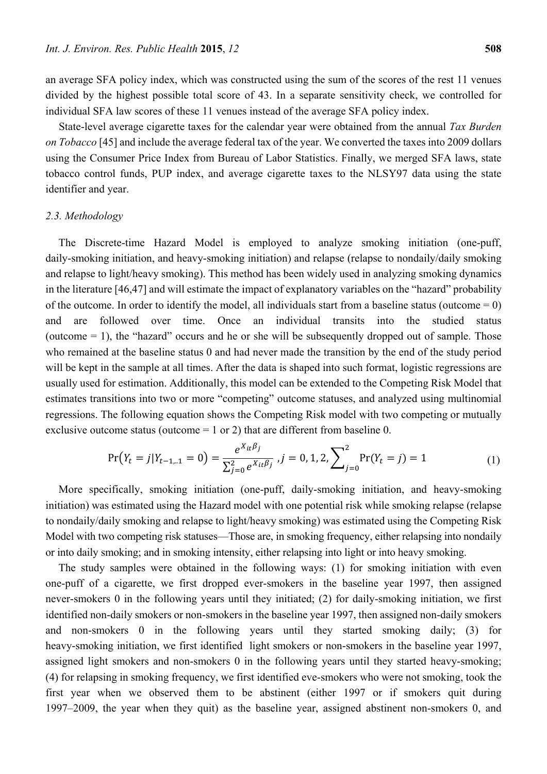an average SFA policy index, which was constructed using the sum of the scores of the rest 11 venues divided by the highest possible total score of 43. In a separate sensitivity check, we controlled for individual SFA law scores of these 11 venues instead of the average SFA policy index.

State-level average cigarette taxes for the calendar year were obtained from the annual *Tax Burden on Tobacco* [45] and include the average federal tax of the year. We converted the taxes into 2009 dollars using the Consumer Price Index from Bureau of Labor Statistics. Finally, we merged SFA laws, state tobacco control funds, PUP index, and average cigarette taxes to the NLSY97 data using the state identifier and year.

#### *2.3. Methodology*

The Discrete-time Hazard Model is employed to analyze smoking initiation (one-puff, daily-smoking initiation, and heavy-smoking initiation) and relapse (relapse to nondaily/daily smoking and relapse to light/heavy smoking). This method has been widely used in analyzing smoking dynamics in the literature [46,47] and will estimate the impact of explanatory variables on the "hazard" probability of the outcome. In order to identify the model, all individuals start from a baseline status (outcome  $= 0$ ) and are followed over time. Once an individual transits into the studied status (outcome  $= 1$ ), the "hazard" occurs and he or she will be subsequently dropped out of sample. Those who remained at the baseline status 0 and had never made the transition by the end of the study period will be kept in the sample at all times. After the data is shaped into such format, logistic regressions are usually used for estimation. Additionally, this model can be extended to the Competing Risk Model that estimates transitions into two or more "competing" outcome statuses, and analyzed using multinomial regressions. The following equation shows the Competing Risk model with two competing or mutually exclusive outcome status (outcome  $= 1$  or 2) that are different from baseline 0.

$$
\Pr(Y_t = j | Y_{t-1,..1} = 0) = \frac{e^{X_{it}\beta_j}}{\sum_{j=0}^2 e^{X_{it}\beta_j}}, j = 0, 1, 2, \sum_{j=0}^2 \Pr(Y_t = j) = 1
$$
\n(1)

More specifically, smoking initiation (one-puff, daily-smoking initiation, and heavy-smoking initiation) was estimated using the Hazard model with one potential risk while smoking relapse (relapse to nondaily/daily smoking and relapse to light/heavy smoking) was estimated using the Competing Risk Model with two competing risk statuses—Those are, in smoking frequency, either relapsing into nondaily or into daily smoking; and in smoking intensity, either relapsing into light or into heavy smoking.

The study samples were obtained in the following ways: (1) for smoking initiation with even one-puff of a cigarette, we first dropped ever-smokers in the baseline year 1997, then assigned never-smokers 0 in the following years until they initiated; (2) for daily-smoking initiation, we first identified non-daily smokers or non-smokers in the baseline year 1997, then assigned non-daily smokers and non-smokers 0 in the following years until they started smoking daily; (3) for heavy-smoking initiation, we first identified light smokers or non-smokers in the baseline year 1997, assigned light smokers and non-smokers 0 in the following years until they started heavy-smoking; (4) for relapsing in smoking frequency, we first identified eve-smokers who were not smoking, took the first year when we observed them to be abstinent (either 1997 or if smokers quit during 1997–2009, the year when they quit) as the baseline year, assigned abstinent non-smokers 0, and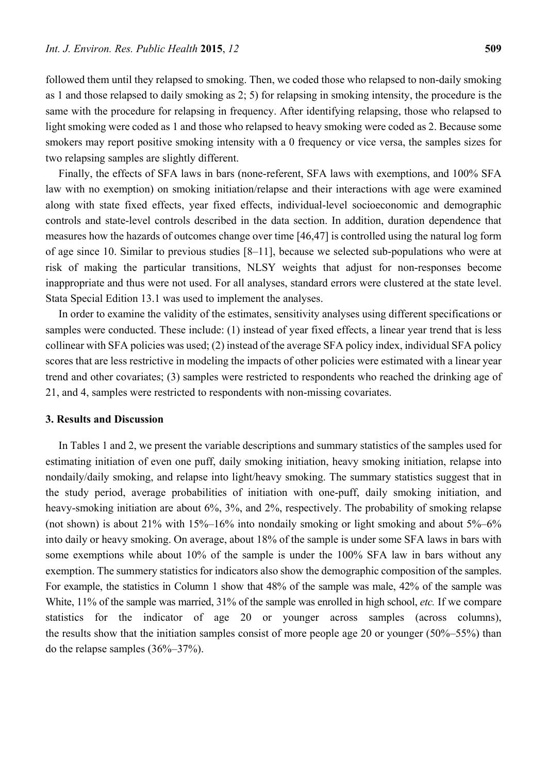followed them until they relapsed to smoking. Then, we coded those who relapsed to non-daily smoking as 1 and those relapsed to daily smoking as 2; 5) for relapsing in smoking intensity, the procedure is the same with the procedure for relapsing in frequency. After identifying relapsing, those who relapsed to light smoking were coded as 1 and those who relapsed to heavy smoking were coded as 2. Because some smokers may report positive smoking intensity with a 0 frequency or vice versa, the samples sizes for two relapsing samples are slightly different.

Finally, the effects of SFA laws in bars (none-referent, SFA laws with exemptions, and 100% SFA law with no exemption) on smoking initiation/relapse and their interactions with age were examined along with state fixed effects, year fixed effects, individual-level socioeconomic and demographic controls and state-level controls described in the data section. In addition, duration dependence that measures how the hazards of outcomes change over time [46,47] is controlled using the natural log form of age since 10. Similar to previous studies [8–11], because we selected sub-populations who were at risk of making the particular transitions, NLSY weights that adjust for non-responses become inappropriate and thus were not used. For all analyses, standard errors were clustered at the state level. Stata Special Edition 13.1 was used to implement the analyses.

In order to examine the validity of the estimates, sensitivity analyses using different specifications or samples were conducted. These include: (1) instead of year fixed effects, a linear year trend that is less collinear with SFA policies was used; (2) instead of the average SFA policy index, individual SFA policy scores that are less restrictive in modeling the impacts of other policies were estimated with a linear year trend and other covariates; (3) samples were restricted to respondents who reached the drinking age of 21, and 4, samples were restricted to respondents with non-missing covariates.

## **3. Results and Discussion**

In Tables 1 and 2, we present the variable descriptions and summary statistics of the samples used for estimating initiation of even one puff, daily smoking initiation, heavy smoking initiation, relapse into nondaily/daily smoking, and relapse into light/heavy smoking. The summary statistics suggest that in the study period, average probabilities of initiation with one-puff, daily smoking initiation, and heavy-smoking initiation are about 6%, 3%, and 2%, respectively. The probability of smoking relapse (not shown) is about 21% with  $15\% - 16\%$  into nondaily smoking or light smoking and about  $5\% - 6\%$ into daily or heavy smoking. On average, about 18% of the sample is under some SFA laws in bars with some exemptions while about 10% of the sample is under the 100% SFA law in bars without any exemption. The summery statistics for indicators also show the demographic composition of the samples. For example, the statistics in Column 1 show that 48% of the sample was male, 42% of the sample was White, 11% of the sample was married, 31% of the sample was enrolled in high school, *etc.* If we compare statistics for the indicator of age 20 or younger across samples (across columns), the results show that the initiation samples consist of more people age 20 or younger (50%–55%) than do the relapse samples (36%–37%).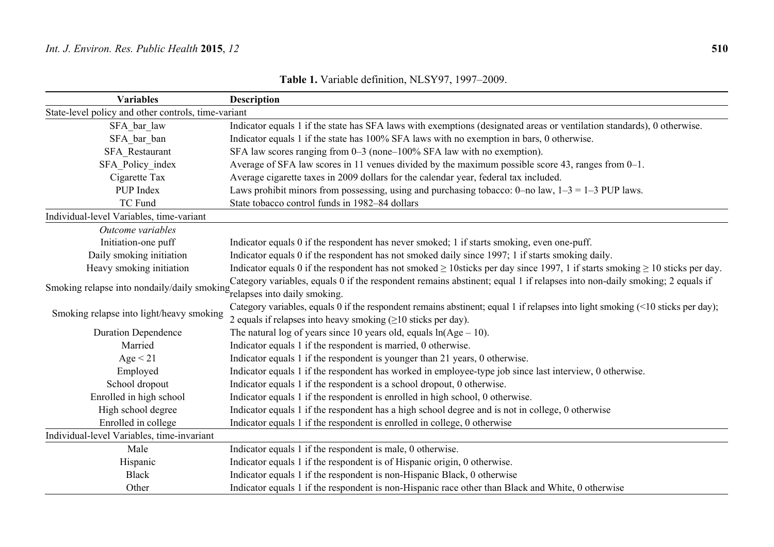| <b>Variables</b>                                                         | <b>Description</b>                                                                                                                    |
|--------------------------------------------------------------------------|---------------------------------------------------------------------------------------------------------------------------------------|
| State-level policy and other controls, time-variant                      |                                                                                                                                       |
| SFA bar law                                                              | Indicator equals 1 if the state has SFA laws with exemptions (designated areas or ventilation standards), 0 otherwise.                |
| SFA bar ban                                                              | Indicator equals 1 if the state has 100% SFA laws with no exemption in bars, 0 otherwise.                                             |
| SFA Restaurant                                                           | SFA law scores ranging from 0–3 (none–100% SFA law with no exemption).                                                                |
| SFA Policy index                                                         | Average of SFA law scores in 11 venues divided by the maximum possible score 43, ranges from 0-1.                                     |
| Cigarette Tax                                                            | Average cigarette taxes in 2009 dollars for the calendar year, federal tax included.                                                  |
| PUP Index                                                                | Laws prohibit minors from possessing, using and purchasing tobacco: 0-no law, $1-3 = 1-3$ PUP laws.                                   |
| <b>TC Fund</b>                                                           | State tobacco control funds in 1982-84 dollars                                                                                        |
| Individual-level Variables, time-variant                                 |                                                                                                                                       |
| Outcome variables                                                        |                                                                                                                                       |
| Initiation-one puff                                                      | Indicator equals 0 if the respondent has never smoked; 1 if starts smoking, even one-puff.                                            |
| Daily smoking initiation                                                 | Indicator equals 0 if the respondent has not smoked daily since 1997; 1 if starts smoking daily.                                      |
| Heavy smoking initiation                                                 | Indicator equals 0 if the respondent has not smoked $\geq$ 10sticks per day since 1997, 1 if starts smoking $\geq$ 10 sticks per day. |
|                                                                          | Category variables, equals 0 if the respondent remains abstinent; equal 1 if relapses into non-daily smoking; 2 equals if             |
| Smoking relapse into nondaily/daily smoking relapses into daily smoking. |                                                                                                                                       |
| Smoking relapse into light/heavy smoking                                 | Category variables, equals 0 if the respondent remains abstinent; equal 1 if relapses into light smoking (<10 sticks per day);        |
|                                                                          | 2 equals if relapses into heavy smoking $( \geq 10 \text{ sticks per day}).$                                                          |
| <b>Duration Dependence</b>                                               | The natural log of years since 10 years old, equals $ln(Age - 10)$ .                                                                  |
| Married                                                                  | Indicator equals 1 if the respondent is married, 0 otherwise.                                                                         |
| Age < 21                                                                 | Indicator equals 1 if the respondent is younger than 21 years, 0 otherwise.                                                           |
| Employed                                                                 | Indicator equals 1 if the respondent has worked in employee-type job since last interview, 0 otherwise.                               |
| School dropout                                                           | Indicator equals 1 if the respondent is a school dropout, 0 otherwise.                                                                |
| Enrolled in high school                                                  | Indicator equals 1 if the respondent is enrolled in high school, 0 otherwise.                                                         |
| High school degree                                                       | Indicator equals 1 if the respondent has a high school degree and is not in college, 0 otherwise                                      |
| Enrolled in college                                                      | Indicator equals 1 if the respondent is enrolled in college, 0 otherwise                                                              |
| Individual-level Variables, time-invariant                               |                                                                                                                                       |
| Male                                                                     | Indicator equals 1 if the respondent is male, 0 otherwise.                                                                            |
| Hispanic                                                                 | Indicator equals 1 if the respondent is of Hispanic origin, 0 otherwise.                                                              |
| <b>Black</b>                                                             | Indicator equals 1 if the respondent is non-Hispanic Black, 0 otherwise                                                               |
| Other                                                                    | Indicator equals 1 if the respondent is non-Hispanic race other than Black and White, 0 otherwise                                     |

**Table 1.** Variable definition, NLSY97, 1997–2009.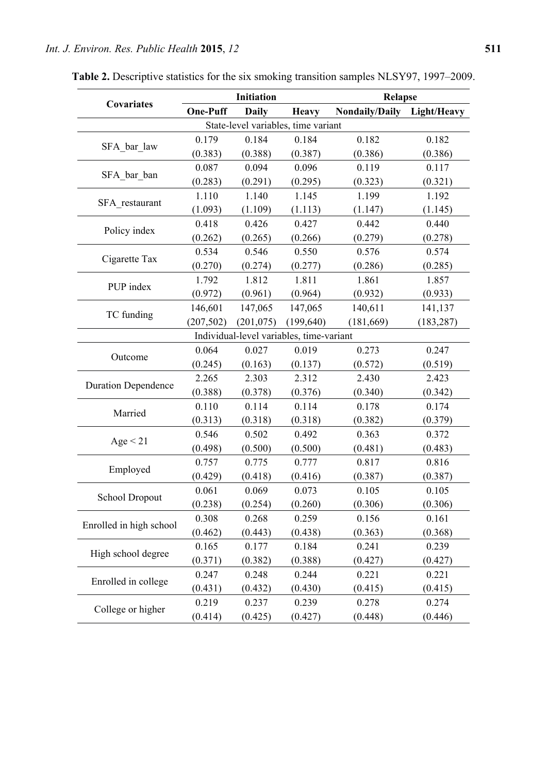|                                     |            | Initiation   |                                          | Relapse                    |            |  |  |  |
|-------------------------------------|------------|--------------|------------------------------------------|----------------------------|------------|--|--|--|
| Covariates                          | One-Puff   | <b>Daily</b> | <b>Heavy</b>                             | Nondaily/Daily Light/Heavy |            |  |  |  |
| State-level variables, time variant |            |              |                                          |                            |            |  |  |  |
|                                     | 0.179      | 0.184        | 0.184                                    | 0.182                      | 0.182      |  |  |  |
| SFA bar law                         | (0.383)    | (0.388)      | (0.387)                                  | (0.386)                    | (0.386)    |  |  |  |
|                                     | 0.087      | 0.094        | 0.096                                    | 0.119                      | 0.117      |  |  |  |
| SFA bar ban                         | (0.283)    | (0.291)      | (0.295)                                  | (0.323)                    | (0.321)    |  |  |  |
|                                     | 1.110      | 1.140        | 1.145                                    | 1.199                      | 1.192      |  |  |  |
| SFA restaurant                      | (1.093)    | (1.109)      | (1.113)                                  | (1.147)                    | (1.145)    |  |  |  |
|                                     | 0.418      | 0.426        | 0.427                                    | 0.442                      | 0.440      |  |  |  |
| Policy index                        | (0.262)    | (0.265)      | (0.266)                                  | (0.279)                    | (0.278)    |  |  |  |
|                                     | 0.534      | 0.546        | 0.550                                    | 0.576                      | 0.574      |  |  |  |
| Cigarette Tax                       | (0.270)    | (0.274)      | (0.277)                                  | (0.286)                    | (0.285)    |  |  |  |
|                                     | 1.792      | 1.812        | 1.811                                    | 1.861                      | 1.857      |  |  |  |
| PUP index                           | (0.972)    | (0.961)      | (0.964)                                  | (0.932)                    | (0.933)    |  |  |  |
|                                     | 146,601    | 147,065      | 147,065                                  | 140,611                    | 141,137    |  |  |  |
| TC funding                          | (207, 502) | (201, 075)   | (199, 640)                               | (181, 669)                 | (183, 287) |  |  |  |
|                                     |            |              | Individual-level variables, time-variant |                            |            |  |  |  |
|                                     | 0.064      | 0.027        | 0.019                                    | 0.273                      | 0.247      |  |  |  |
| Outcome                             | (0.245)    | (0.163)      | (0.137)                                  | (0.572)                    | (0.519)    |  |  |  |
|                                     | 2.265      | 2.303        | 2.312                                    | 2.430                      | 2.423      |  |  |  |
| <b>Duration Dependence</b>          | (0.388)    | (0.378)      | (0.376)                                  | (0.340)                    | (0.342)    |  |  |  |
|                                     | 0.110      | 0.114        | 0.114                                    | 0.178                      | 0.174      |  |  |  |
| Married                             | (0.313)    | (0.318)      | (0.318)                                  | (0.382)                    | (0.379)    |  |  |  |
|                                     | 0.546      | 0.502        | 0.492                                    | 0.363                      | 0.372      |  |  |  |
| Age < 21                            | (0.498)    | (0.500)      | (0.500)                                  | (0.481)                    | (0.483)    |  |  |  |
|                                     | 0.757      | 0.775        | 0.777                                    | 0.817                      | 0.816      |  |  |  |
| Employed                            | (0.429)    | (0.418)      | (0.416)                                  | (0.387)                    | (0.387)    |  |  |  |
|                                     | 0.061      | 0.069        | 0.073                                    | 0.105                      | 0.105      |  |  |  |
| School Dropout                      | (0.238)    | (0.254)      | (0.260)                                  | (0.306)                    | (0.306)    |  |  |  |
|                                     | 0.308      | 0.268        | 0.259                                    | 0.156                      | 0.161      |  |  |  |
| Enrolled in high school             | (0.462)    | (0.443)      | (0.438)                                  | (0.363)                    | (0.368)    |  |  |  |
|                                     | 0.165      | 0.177        | 0.184                                    | 0.241                      | 0.239      |  |  |  |
| High school degree                  | (0.371)    | (0.382)      | (0.388)                                  | (0.427)                    | (0.427)    |  |  |  |
|                                     | 0.247      | 0.248        | 0.244                                    | 0.221                      | 0.221      |  |  |  |
| Enrolled in college                 | (0.431)    | (0.432)      | (0.430)                                  | (0.415)                    | (0.415)    |  |  |  |
|                                     | 0.219      | 0.237        | 0.239                                    | 0.278                      | 0.274      |  |  |  |
| College or higher                   | (0.414)    | (0.425)      | (0.427)                                  | (0.448)                    | (0.446)    |  |  |  |

**Table 2.** Descriptive statistics for the six smoking transition samples NLSY97, 1997–2009.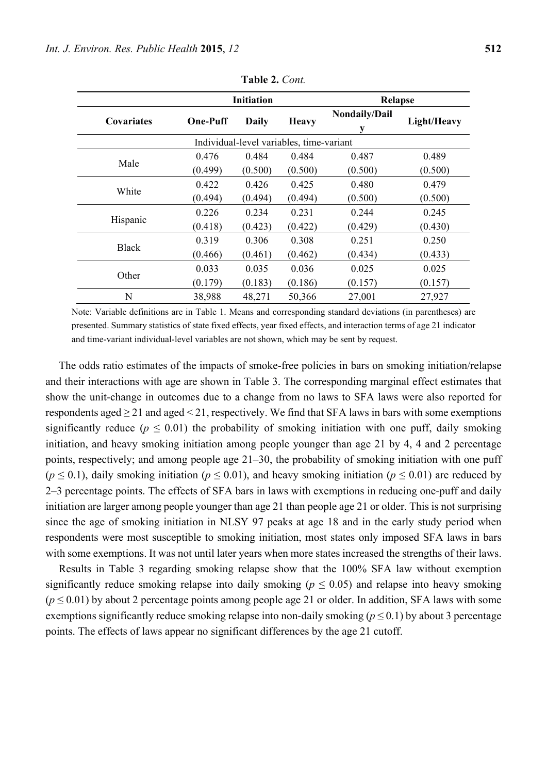|                                          | <b>Initiation</b> |              |              |                    | <b>Relapse</b> |  |  |  |  |
|------------------------------------------|-------------------|--------------|--------------|--------------------|----------------|--|--|--|--|
| Covariates                               | <b>One-Puff</b>   | <b>Daily</b> | <b>Heavy</b> | Nondaily/Dail<br>у | Light/Heavy    |  |  |  |  |
| Individual-level variables, time-variant |                   |              |              |                    |                |  |  |  |  |
| Male                                     | 0.476             | 0.484        | 0.484        | 0.487              | 0.489          |  |  |  |  |
|                                          | (0.499)           | (0.500)      | (0.500)      | (0.500)            | (0.500)        |  |  |  |  |
| White                                    | 0.422             | 0.426        | 0.425        | 0.480              | 0.479          |  |  |  |  |
|                                          | (0.494)           | (0.494)      | (0.494)      | (0.500)            | (0.500)        |  |  |  |  |
| Hispanic                                 | 0.226             | 0.234        | 0.231        | 0.244              | 0.245          |  |  |  |  |
|                                          | (0.418)           | (0.423)      | (0.422)      | (0.429)            | (0.430)        |  |  |  |  |
| <b>Black</b>                             | 0.319             | 0.306        | 0.308        | 0.251              | 0.250          |  |  |  |  |
|                                          | (0.466)           | (0.461)      | (0.462)      | (0.434)            | (0.433)        |  |  |  |  |
| Other                                    | 0.033             | 0.035        | 0.036        | 0.025              | 0.025          |  |  |  |  |
|                                          | (0.179)           | (0.183)      | (0.186)      | (0.157)            | (0.157)        |  |  |  |  |

**Table 2.** *Cont.* 

Note: Variable definitions are in Table 1. Means and corresponding standard deviations (in parentheses) are presented. Summary statistics of state fixed effects, year fixed effects, and interaction terms of age 21 indicator and time-variant individual-level variables are not shown, which may be sent by request.

N 38,988 48,271 50,366 27,001 27,927

The odds ratio estimates of the impacts of smoke-free policies in bars on smoking initiation/relapse and their interactions with age are shown in Table 3. The corresponding marginal effect estimates that show the unit-change in outcomes due to a change from no laws to SFA laws were also reported for respondents aged  $\geq$  21 and aged  $\leq$  21, respectively. We find that SFA laws in bars with some exemptions significantly reduce ( $p \leq 0.01$ ) the probability of smoking initiation with one puff, daily smoking initiation, and heavy smoking initiation among people younger than age 21 by 4, 4 and 2 percentage points, respectively; and among people age 21–30, the probability of smoking initiation with one puff (*p* ≤ 0.1), daily smoking initiation (*p* ≤ 0.01), and heavy smoking initiation (*p* ≤ 0.01) are reduced by 2–3 percentage points. The effects of SFA bars in laws with exemptions in reducing one-puff and daily initiation are larger among people younger than age 21 than people age 21 or older. This is not surprising since the age of smoking initiation in NLSY 97 peaks at age 18 and in the early study period when respondents were most susceptible to smoking initiation, most states only imposed SFA laws in bars with some exemptions. It was not until later years when more states increased the strengths of their laws.

Results in Table 3 regarding smoking relapse show that the 100% SFA law without exemption significantly reduce smoking relapse into daily smoking ( $p \leq 0.05$ ) and relapse into heavy smoking (*p* ≤ 0.01) by about 2 percentage points among people age 21 or older. In addition, SFA laws with some exemptions significantly reduce smoking relapse into non-daily smoking ( $p \le 0.1$ ) by about 3 percentage points. The effects of laws appear no significant differences by the age 21 cutoff.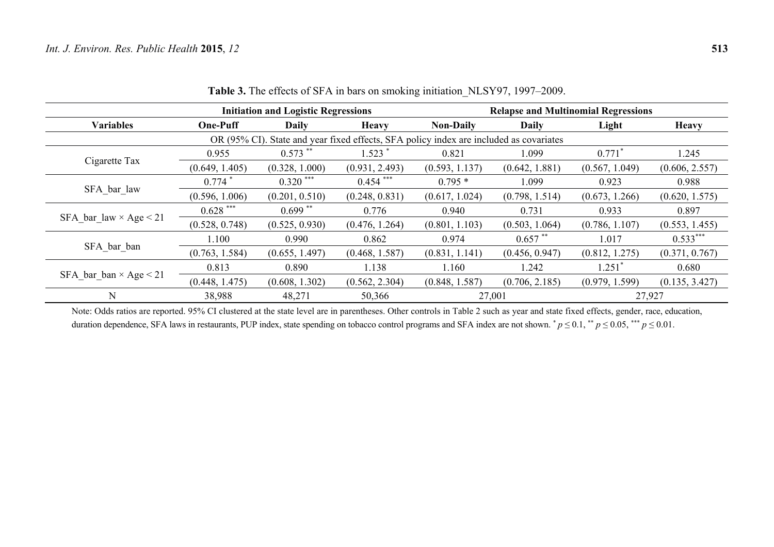|                                                                                        |                      | <b>Initiation and Logistic Regressions</b> |                | <b>Relapse and Multinomial Regressions</b> |                |                |                |  |
|----------------------------------------------------------------------------------------|----------------------|--------------------------------------------|----------------|--------------------------------------------|----------------|----------------|----------------|--|
| <b>Variables</b>                                                                       | <b>One-Puff</b>      | Daily                                      | <b>Heavy</b>   | <b>Non-Daily</b>                           | <b>Daily</b>   | Light          | <b>Heavy</b>   |  |
| OR (95% CI). State and year fixed effects, SFA policy index are included as covariates |                      |                                            |                |                                            |                |                |                |  |
|                                                                                        | 0.955                | $0.573$ **                                 | $1.523$ $*$    | 0.821                                      | 1.099          | $0.771*$       | 1.245          |  |
| Cigarette Tax                                                                          | (0.649, 1.405)       | (0.328, 1.000)                             | (0.931, 2.493) | (0.593, 1.137)                             | (0.642, 1.881) | (0.567, 1.049) | (0.606, 2.557) |  |
| SFA bar law                                                                            | $0.774$ <sup>*</sup> | $0.320$ ***                                | $0.454$ ***    | $0.795*$                                   | 1.099          | 0.923          | 0.988          |  |
|                                                                                        | (0.596, 1.006)       | (0.201, 0.510)                             | (0.248, 0.831) | (0.617, 1.024)                             | (0.798, 1.514) | (0.673, 1.266) | (0.620, 1.575) |  |
| SFA bar law $\times$ Age $<$ 21                                                        | $0.628$ ***          | $0.699$ **                                 | 0.776          | 0.940                                      | 0.731          | 0.933          | 0.897          |  |
|                                                                                        | (0.528, 0.748)       | (0.525, 0.930)                             | (0.476, 1.264) | (0.801, 1.103)                             | (0.503, 1.064) | (0.786, 1.107) | (0.553, 1.455) |  |
| SFA bar ban                                                                            | 1.100                | 0.990                                      | 0.862          | 0.974                                      | $0.657$ **     | 1.017          | $0.533***$     |  |
|                                                                                        | (0.763, 1.584)       | (0.655, 1.497)                             | (0.468, 1.587) | (0.831, 1.141)                             | (0.456, 0.947) | (0.812, 1.275) | (0.371, 0.767) |  |
| SFA bar ban $\times$ Age $<$ 21                                                        | 0.813                | 0.890                                      | 1.138          | 1.160                                      | 1.242          | $1.251$ $*$    | 0.680          |  |
|                                                                                        | (0.448, 1.475)       | (0.608, 1.302)                             | (0.562, 2.304) | (0.848, 1.587)                             | (0.706, 2.185) | (0.979, 1.599) | (0.135, 3.427) |  |
| $\mathbf N$                                                                            | 38,988               | 48,271                                     | 50,366         | 27,001                                     |                | 27,927         |                |  |

**Table 3.** The effects of SFA in bars on smoking initiation\_NLSY97, 1997–2009.

Note: Odds ratios are reported. 95% CI clustered at the state level are in parentheses. Other controls in Table 2 such as year and state fixed effects, gender, race, education, duration dependence, SFA laws in restaurants, PUP index, state spending on tobacco control programs and SFA index are not shown.  $p \le 0.1$ ,  $*$   $p \le 0.05$ ,  $*$   $*$   $p \le 0.01$ .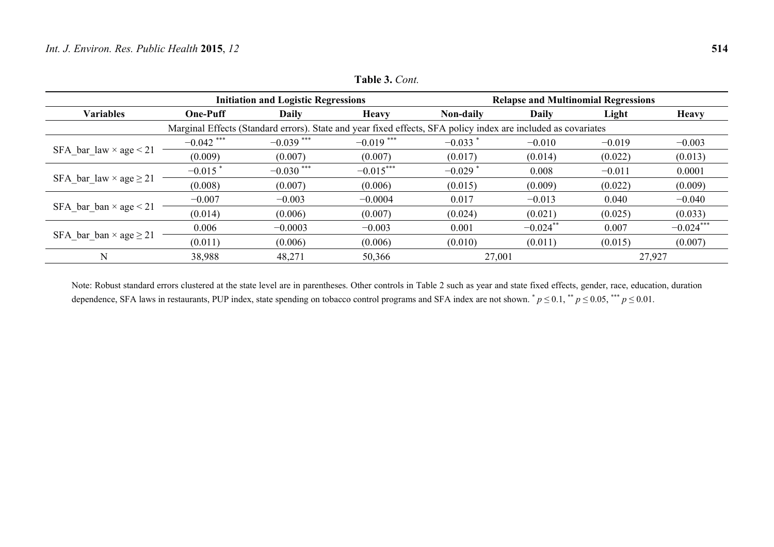|                                    | <b>Initiation and Logistic Regressions</b>                                                                    |              |                         | <b>Relapse and Multinomial Regressions</b> |             |          |              |  |
|------------------------------------|---------------------------------------------------------------------------------------------------------------|--------------|-------------------------|--------------------------------------------|-------------|----------|--------------|--|
| <b>Variables</b>                   | <b>One-Puff</b>                                                                                               | Daily        | <b>Heavy</b>            | Non-daily                                  | Daily       | Light    | <b>Heavy</b> |  |
|                                    | Marginal Effects (Standard errors). State and year fixed effects, SFA policy index are included as covariates |              |                         |                                            |             |          |              |  |
|                                    | $-0.042$ ***                                                                                                  | $-0.039$ *** | $-0.019$ <sup>***</sup> | $-0.033$                                   | $-0.010$    | $-0.019$ | $-0.003$     |  |
| SFA bar law $\times$ age $<$ 21    | (0.009)                                                                                                       | (0.007)      | (0.007)                 | (0.017)                                    | (0.014)     | (0.022)  | (0.013)      |  |
| SFA_bar_law $\times$ age $\geq$ 21 | $-0.015$                                                                                                      | $-0.030$ *** | $-0.015***$             | $-0.029$                                   | 0.008       | $-0.011$ | 0.0001       |  |
|                                    | (0.008)                                                                                                       | (0.007)      | (0.006)                 | (0.015)                                    | (0.009)     | (0.022)  | (0.009)      |  |
| SFA_bar_ban $\times$ age $<$ 21    | $-0.007$                                                                                                      | $-0.003$     | $-0.0004$               | 0.017                                      | $-0.013$    | 0.040    | $-0.040$     |  |
|                                    | (0.014)                                                                                                       | (0.006)      | (0.007)                 | (0.024)                                    | (0.021)     | (0.025)  | (0.033)      |  |
| SFA bar ban $\times$ age $\geq$ 21 | 0.006                                                                                                         | $-0.0003$    | $-0.003$                | 0.001                                      | $-0.024$ ** | 0.007    | $-0.024***$  |  |
|                                    | (0.011)                                                                                                       | (0.006)      | (0.006)                 | (0.010)                                    | (0.011)     | (0.015)  | (0.007)      |  |
| N                                  | 38,988                                                                                                        | 48,271       | 50,366                  | 27,001                                     |             |          | 27,927       |  |

**Table 3.** *Cont.*

Note: Robust standard errors clustered at the state level are in parentheses. Other controls in Table 2 such as year and state fixed effects, gender, race, education, duration dependence, SFA laws in restaurants, PUP index, state spending on tobacco control programs and SFA index are not shown.  $p \le 0.1$ ,  $*$   $p \le 0.05$ ,  $***$   $p \le 0.01$ .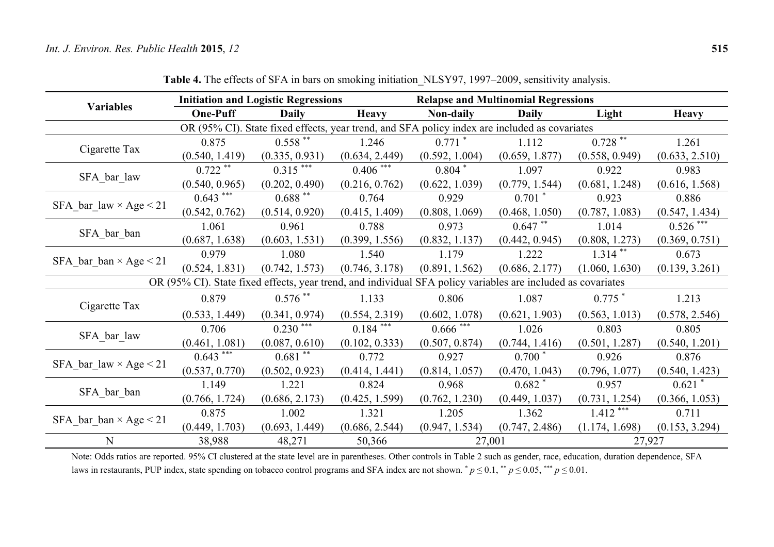|                                                                                               | <b>Initiation and Logistic Regressions</b>                                                                   |                        |                | <b>Relapse and Multinomial Regressions</b> |                |                |                |  |
|-----------------------------------------------------------------------------------------------|--------------------------------------------------------------------------------------------------------------|------------------------|----------------|--------------------------------------------|----------------|----------------|----------------|--|
| <b>Variables</b>                                                                              | <b>One-Puff</b>                                                                                              | <b>Daily</b>           | <b>Heavy</b>   | <b>Non-daily</b>                           | <b>Daily</b>   | Light          | <b>Heavy</b>   |  |
| OR (95% CI). State fixed effects, year trend, and SFA policy index are included as covariates |                                                                                                              |                        |                |                                            |                |                |                |  |
| Cigarette Tax                                                                                 | 0.875                                                                                                        | $0.558***$             | 1.246          | $0.771$ *                                  | 1.112          | $0.728$ **     | 1.261          |  |
|                                                                                               | (0.540, 1.419)                                                                                               | (0.335, 0.931)         | (0.634, 2.449) | (0.592, 1.004)                             | (0.659, 1.877) | (0.558, 0.949) | (0.633, 2.510) |  |
|                                                                                               | $0.722$ **                                                                                                   | $0.315***$             | $0.406***$     | $0.804*$                                   | 1.097          | 0.922          | 0.983          |  |
| SFA_bar_law                                                                                   | (0.540, 0.965)                                                                                               | (0.202, 0.490)         | (0.216, 0.762) | (0.622, 1.039)                             | (0.779, 1.544) | (0.681, 1.248) | (0.616, 1.568) |  |
| $SFA\_bar\_law \times Age < 21$                                                               | $0.643***$                                                                                                   | $0.688$ **             | 0.764          | 0.929                                      | $0.701$ *      | 0.923          | 0.886          |  |
|                                                                                               | (0.542, 0.762)                                                                                               | (0.514, 0.920)         | (0.415, 1.409) | (0.808, 1.069)                             | (0.468, 1.050) | (0.787, 1.083) | (0.547, 1.434) |  |
| SFA_bar_ban                                                                                   | 1.061                                                                                                        | 0.961                  | 0.788          | 0.973                                      | $0.647$ **     | 1.014          | $0.526$ ***    |  |
|                                                                                               | (0.687, 1.638)                                                                                               | (0.603, 1.531)         | (0.399, 1.556) | (0.832, 1.137)                             | (0.442, 0.945) | (0.808, 1.273) | (0.369, 0.751) |  |
| $SFA\_bar\_ban \times Age$ < 21                                                               | 0.979                                                                                                        | 1.080                  | 1.540          | 1.179                                      | 1.222          | $1.314$ **     | 0.673          |  |
|                                                                                               | (0.524, 1.831)                                                                                               | (0.742, 1.573)         | (0.746, 3.178) | (0.891, 1.562)                             | (0.686, 2.177) | (1.060, 1.630) | (0.139, 3.261) |  |
|                                                                                               | OR (95% CI). State fixed effects, year trend, and individual SFA policy variables are included as covariates |                        |                |                                            |                |                |                |  |
| Cigarette Tax                                                                                 | 0.879                                                                                                        | $0.576$ **             | 1.133          | 0.806                                      | 1.087          | $0.775$ $*$    | 1.213          |  |
|                                                                                               | (0.533, 1.449)                                                                                               | (0.341, 0.974)         | (0.554, 2.319) | (0.602, 1.078)                             | (0.621, 1.903) | (0.563, 1.013) | (0.578, 2.546) |  |
|                                                                                               | 0.706                                                                                                        | $0.230$ <sup>***</sup> | $0.184$ ***    | $0.666$ ***                                | 1.026          | 0.803          | 0.805          |  |
| SFA_bar_law                                                                                   | (0.461, 1.081)                                                                                               | (0.087, 0.610)         | (0.102, 0.333) | (0.507, 0.874)                             | (0.744, 1.416) | (0.501, 1.287) | (0.540, 1.201) |  |
|                                                                                               | $0.643***$                                                                                                   | $0.681**$              | 0.772          | 0.927                                      | $0.700*$       | 0.926          | 0.876          |  |
| SFA bar law $\times$ Age $<$ 21                                                               | (0.537, 0.770)                                                                                               | (0.502, 0.923)         | (0.414, 1.441) | (0.814, 1.057)                             | (0.470, 1.043) | (0.796, 1.077) | (0.540, 1.423) |  |
|                                                                                               | 1.149                                                                                                        | 1.221                  | 0.824          | 0.968                                      | $0.682*$       | 0.957          | $0.621$ *      |  |
| SFA_bar_ban                                                                                   | (0.766, 1.724)                                                                                               | (0.686, 2.173)         | (0.425, 1.599) | (0.762, 1.230)                             | (0.449, 1.037) | (0.731, 1.254) | (0.366, 1.053) |  |
| SFA bar ban $\times$ Age $<$ 21                                                               | 0.875                                                                                                        | 1.002                  | 1.321          | 1.205                                      | 1.362          | $1.412***$     | 0.711          |  |
|                                                                                               | (0.449, 1.703)                                                                                               | (0.693, 1.449)         | (0.686, 2.544) | (0.947, 1.534)                             | (0.747, 2.486) | (1.174, 1.698) | (0.153, 3.294) |  |
| N                                                                                             | 38,988                                                                                                       | 48,271                 | 50,366         | 27,001                                     |                | 27,927         |                |  |

**Table 4.** The effects of SFA in bars on smoking initiation\_NLSY97, 1997–2009, sensitivity analysis.

Note: Odds ratios are reported. 95% CI clustered at the state level are in parentheses. Other controls in Table 2 such as gender, race, education, duration dependence, SFA laws in restaurants, PUP index, state spending on tobacco control programs and SFA index are not shown.  $p \le 0.1$ ,  $\binom{4}{r} p \le 0.05$ ,  $\binom{4}{r} p \le 0.01$ .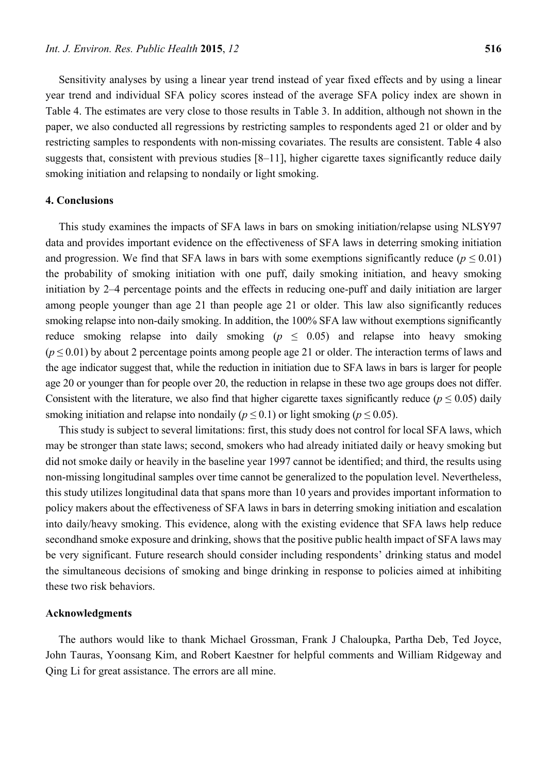Sensitivity analyses by using a linear year trend instead of year fixed effects and by using a linear year trend and individual SFA policy scores instead of the average SFA policy index are shown in Table 4. The estimates are very close to those results in Table 3. In addition, although not shown in the paper, we also conducted all regressions by restricting samples to respondents aged 21 or older and by restricting samples to respondents with non-missing covariates. The results are consistent. Table 4 also suggests that, consistent with previous studies [8–11], higher cigarette taxes significantly reduce daily smoking initiation and relapsing to nondaily or light smoking.

### **4. Conclusions**

This study examines the impacts of SFA laws in bars on smoking initiation/relapse using NLSY97 data and provides important evidence on the effectiveness of SFA laws in deterring smoking initiation and progression. We find that SFA laws in bars with some exemptions significantly reduce  $(p < 0.01)$ the probability of smoking initiation with one puff, daily smoking initiation, and heavy smoking initiation by 2–4 percentage points and the effects in reducing one-puff and daily initiation are larger among people younger than age 21 than people age 21 or older. This law also significantly reduces smoking relapse into non-daily smoking. In addition, the 100% SFA law without exemptions significantly reduce smoking relapse into daily smoking ( $p \leq 0.05$ ) and relapse into heavy smoking (*p* ≤ 0.01) by about 2 percentage points among people age 21 or older. The interaction terms of laws and the age indicator suggest that, while the reduction in initiation due to SFA laws in bars is larger for people age 20 or younger than for people over 20, the reduction in relapse in these two age groups does not differ. Consistent with the literature, we also find that higher cigarette taxes significantly reduce  $(p \le 0.05)$  daily smoking initiation and relapse into nondaily ( $p \le 0.1$ ) or light smoking ( $p \le 0.05$ ).

This study is subject to several limitations: first, this study does not control for local SFA laws, which may be stronger than state laws; second, smokers who had already initiated daily or heavy smoking but did not smoke daily or heavily in the baseline year 1997 cannot be identified; and third, the results using non-missing longitudinal samples over time cannot be generalized to the population level. Nevertheless, this study utilizes longitudinal data that spans more than 10 years and provides important information to policy makers about the effectiveness of SFA laws in bars in deterring smoking initiation and escalation into daily/heavy smoking. This evidence, along with the existing evidence that SFA laws help reduce secondhand smoke exposure and drinking, shows that the positive public health impact of SFA laws may be very significant. Future research should consider including respondents' drinking status and model the simultaneous decisions of smoking and binge drinking in response to policies aimed at inhibiting these two risk behaviors.

#### **Acknowledgments**

The authors would like to thank Michael Grossman, Frank J Chaloupka, Partha Deb, Ted Joyce, John Tauras, Yoonsang Kim, and Robert Kaestner for helpful comments and William Ridgeway and Qing Li for great assistance. The errors are all mine.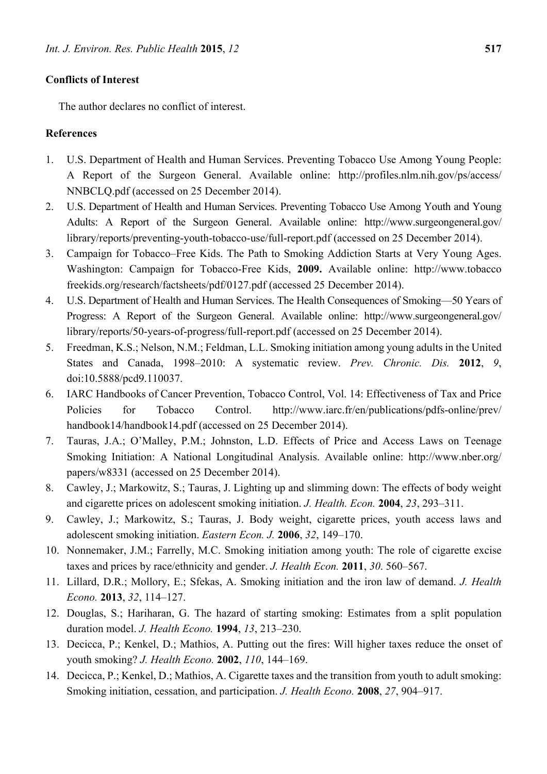# **Conflicts of Interest**

The author declares no conflict of interest.

# **References**

- 1. U.S. Department of Health and Human Services. Preventing Tobacco Use Among Young People: A Report of the Surgeon General. Available online: http://profiles.nlm.nih.gov/ps/access/ NNBCLQ.pdf (accessed on 25 December 2014).
- 2. U.S. Department of Health and Human Services. Preventing Tobacco Use Among Youth and Young Adults: A Report of the Surgeon General. Available online: http://www.surgeongeneral.gov/ library/reports/preventing-youth-tobacco-use/full-report.pdf (accessed on 25 December 2014).
- 3. Campaign for Tobacco–Free Kids. The Path to Smoking Addiction Starts at Very Young Ages. Washington: Campaign for Tobacco-Free Kids, **2009.** Available online: http://www.tobacco freekids.org/research/factsheets/pdf/0127.pdf (accessed 25 December 2014).
- 4. U.S. Department of Health and Human Services. The Health Consequences of Smoking—50 Years of Progress: A Report of the Surgeon General. Available online: http://www.surgeongeneral.gov/ library/reports/50-years-of-progress/full-report.pdf (accessed on 25 December 2014).
- 5. Freedman, K.S.; Nelson, N.M.; Feldman, L.L. Smoking initiation among young adults in the United States and Canada, 1998–2010: A systematic review. *Prev. Chronic. Dis.* **2012**, *9*, doi:10.5888/pcd9.110037.
- 6. IARC Handbooks of Cancer Prevention, Tobacco Control, Vol. 14: Effectiveness of Tax and Price Policies for Tobacco Control. http://www.iarc.fr/en/publications/pdfs-online/prev/ handbook14/handbook14.pdf (accessed on 25 December 2014).
- 7. Tauras, J.A.; O'Malley, P.M.; Johnston, L.D. Effects of Price and Access Laws on Teenage Smoking Initiation: A National Longitudinal Analysis. Available online: http://www.nber.org/ papers/w8331 (accessed on 25 December 2014).
- 8. Cawley, J.; Markowitz, S.; Tauras, J. Lighting up and slimming down: The effects of body weight and cigarette prices on adolescent smoking initiation. *J. Health. Econ.* **2004**, *23*, 293–311.
- 9. Cawley, J.; Markowitz, S.; Tauras, J. Body weight, cigarette prices, youth access laws and adolescent smoking initiation. *Eastern Econ. J.* **2006**, *32*, 149–170.
- 10. Nonnemaker, J.M.; Farrelly, M.C. Smoking initiation among youth: The role of cigarette excise taxes and prices by race/ethnicity and gender. *J. Health Econ.* **2011**, *30*. 560–567.
- 11. Lillard, D.R.; Mollory, E.; Sfekas, A. Smoking initiation and the iron law of demand. *J. Health Econo.* **2013**, *32*, 114–127.
- 12. Douglas, S.; Hariharan, G. The hazard of starting smoking: Estimates from a split population duration model. *J. Health Econo.* **1994**, *13*, 213–230.
- 13. Decicca, P.; Kenkel, D.; Mathios, A. Putting out the fires: Will higher taxes reduce the onset of youth smoking? *J. Health Econo.* **2002**, *110*, 144–169.
- 14. Decicca, P.; Kenkel, D.; Mathios, A. Cigarette taxes and the transition from youth to adult smoking: Smoking initiation, cessation, and participation. *J. Health Econo.* **2008**, *27*, 904–917.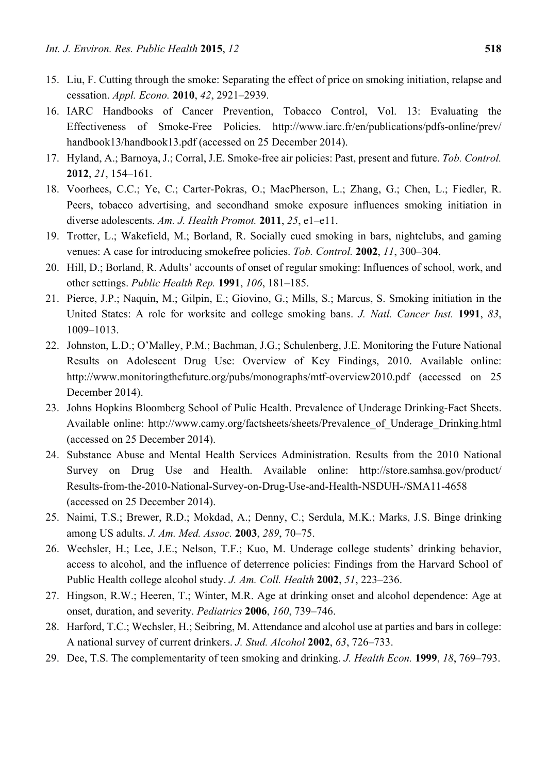- 15. Liu, F. Cutting through the smoke: Separating the effect of price on smoking initiation, relapse and cessation. *Appl. Econo.* **2010**, *42*, 2921–2939.
- 16. IARC Handbooks of Cancer Prevention, Tobacco Control, Vol. 13: Evaluating the Effectiveness of Smoke-Free Policies. http://www.iarc.fr/en/publications/pdfs-online/prev/ handbook13/handbook13.pdf (accessed on 25 December 2014).
- 17. Hyland, A.; Barnoya, J.; Corral, J.E. Smoke-free air policies: Past, present and future. *Tob. Control.* **2012**, *21*, 154–161.
- 18. Voorhees, C.C.; Ye, C.; Carter-Pokras, O.; MacPherson, L.; Zhang, G.; Chen, L.; Fiedler, R. Peers, tobacco advertising, and secondhand smoke exposure influences smoking initiation in diverse adolescents. *Am. J. Health Promot.* **2011**, *25*, e1–e11.
- 19. Trotter, L.; Wakefield, M.; Borland, R. Socially cued smoking in bars, nightclubs, and gaming venues: A case for introducing smokefree policies. *Tob. Control.* **2002**, *11*, 300–304.
- 20. Hill, D.; Borland, R. Adults' accounts of onset of regular smoking: Influences of school, work, and other settings. *Public Health Rep.* **1991**, *106*, 181–185.
- 21. Pierce, J.P.; Naquin, M.; Gilpin, E.; Giovino, G.; Mills, S.; Marcus, S. Smoking initiation in the United States: A role for worksite and college smoking bans. *J. Natl. Cancer Inst.* **1991**, *83*, 1009–1013.
- 22. Johnston, L.D.; O'Malley, P.M.; Bachman, J.G.; Schulenberg, J.E. Monitoring the Future National Results on Adolescent Drug Use: Overview of Key Findings, 2010. Available online: http://www.monitoringthefuture.org/pubs/monographs/mtf-overview2010.pdf (accessed on 25 December 2014).
- 23. Johns Hopkins Bloomberg School of Pulic Health. Prevalence of Underage Drinking-Fact Sheets. Available online: http://www.camy.org/factsheets/sheets/Prevalence\_of\_Underage\_Drinking.html (accessed on 25 December 2014).
- 24. Substance Abuse and Mental Health Services Administration. Results from the 2010 National Survey on Drug Use and Health. Available online: http://store.samhsa.gov/product/ Results-from-the-2010-National-Survey-on-Drug-Use-and-Health-NSDUH-/SMA11-4658 (accessed on 25 December 2014).
- 25. Naimi, T.S.; Brewer, R.D.; Mokdad, A.; Denny, C.; Serdula, M.K.; Marks, J.S. Binge drinking among US adults. *J. Am. Med. Assoc.* **2003**, *289*, 70–75.
- 26. Wechsler, H.; Lee, J.E.; Nelson, T.F.; Kuo, M. Underage college students' drinking behavior, access to alcohol, and the influence of deterrence policies: Findings from the Harvard School of Public Health college alcohol study. *J. Am. Coll. Health* **2002**, *51*, 223–236.
- 27. Hingson, R.W.; Heeren, T.; Winter, M.R. Age at drinking onset and alcohol dependence: Age at onset, duration, and severity. *Pediatrics* **2006**, *160*, 739–746.
- 28. Harford, T.C.; Wechsler, H.; Seibring, M. Attendance and alcohol use at parties and bars in college: A national survey of current drinkers. *J. Stud. Alcohol* **2002**, *63*, 726–733.
- 29. Dee, T.S. The complementarity of teen smoking and drinking. *J. Health Econ.* **1999**, *18*, 769–793.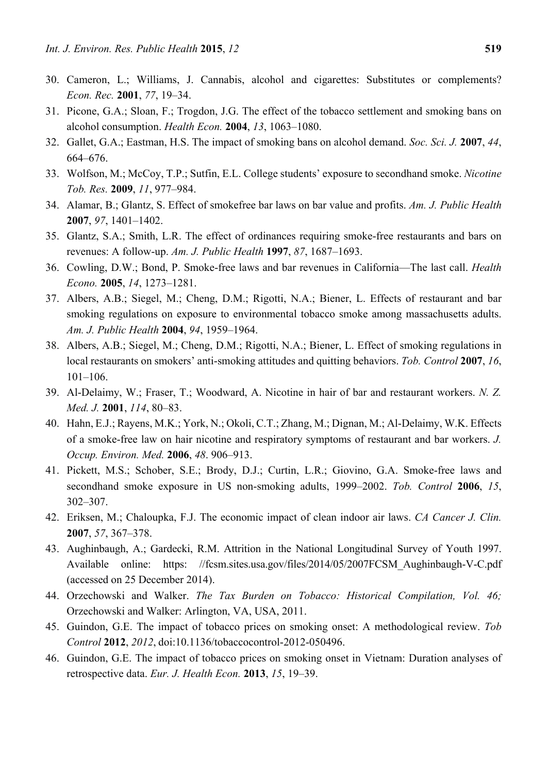- 30. Cameron, L.; Williams, J. Cannabis, alcohol and cigarettes: Substitutes or complements? *Econ. Rec.* **2001**, *77*, 19–34.
- 31. Picone, G.A.; Sloan, F.; Trogdon, J.G. The effect of the tobacco settlement and smoking bans on alcohol consumption. *Health Econ.* **2004**, *13*, 1063–1080.
- 32. Gallet, G.A.; Eastman, H.S. The impact of smoking bans on alcohol demand. *Soc. Sci. J.* **2007**, *44*, 664–676.
- 33. Wolfson, M.; McCoy, T.P.; Sutfin, E.L. College students' exposure to secondhand smoke. *Nicotine Tob. Res.* **2009**, *11*, 977–984.
- 34. Alamar, B.; Glantz, S. Effect of smokefree bar laws on bar value and profits. *Am. J. Public Health* **2007**, *97*, 1401–1402.
- 35. Glantz, S.A.; Smith, L.R. The effect of ordinances requiring smoke-free restaurants and bars on revenues: A follow-up. *Am. J. Public Health* **1997**, *87*, 1687–1693.
- 36. Cowling, D.W.; Bond, P. Smoke-free laws and bar revenues in California—The last call. *Health Econo.* **2005**, *14*, 1273–1281.
- 37. Albers, A.B.; Siegel, M.; Cheng, D.M.; Rigotti, N.A.; Biener, L. Effects of restaurant and bar smoking regulations on exposure to environmental tobacco smoke among massachusetts adults. *Am. J. Public Health* **2004**, *94*, 1959–1964.
- 38. Albers, A.B.; Siegel, M.; Cheng, D.M.; Rigotti, N.A.; Biener, L. Effect of smoking regulations in local restaurants on smokers' anti-smoking attitudes and quitting behaviors. *Tob. Control* **2007**, *16*, 101–106.
- 39. Al-Delaimy, W.; Fraser, T.; Woodward, A. Nicotine in hair of bar and restaurant workers. *N. Z. Med. J.* **2001**, *114*, 80–83.
- 40. Hahn, E.J.; Rayens, M.K.; York, N.; Okoli, C.T.; Zhang, M.; Dignan, M.; Al-Delaimy, W.K. Effects of a smoke-free law on hair nicotine and respiratory symptoms of restaurant and bar workers. *J. Occup. Environ. Med.* **2006**, *48*. 906–913.
- 41. Pickett, M.S.; Schober, S.E.; Brody, D.J.; Curtin, L.R.; Giovino, G.A. Smoke-free laws and secondhand smoke exposure in US non-smoking adults, 1999–2002. *Tob. Control* **2006**, *15*, 302–307.
- 42. Eriksen, M.; Chaloupka, F.J. The economic impact of clean indoor air laws. *CA Cancer J. Clin.* **2007**, *57*, 367–378.
- 43. Aughinbaugh, A.; Gardecki, R.M. Attrition in the National Longitudinal Survey of Youth 1997. Available online: https: //fcsm.sites.usa.gov/files/2014/05/2007FCSM\_Aughinbaugh-V-C.pdf (accessed on 25 December 2014).
- 44. Orzechowski and Walker. *The Tax Burden on Tobacco: Historical Compilation, Vol. 46;*  Orzechowski and Walker: Arlington, VA, USA, 2011.
- 45. Guindon, G.E. The impact of tobacco prices on smoking onset: A methodological review. *Tob Control* **2012**, *2012*, doi:10.1136/tobaccocontrol-2012-050496.
- 46. Guindon, G.E. The impact of tobacco prices on smoking onset in Vietnam: Duration analyses of retrospective data. *Eur. J. Health Econ.* **2013**, *15*, 19–39.